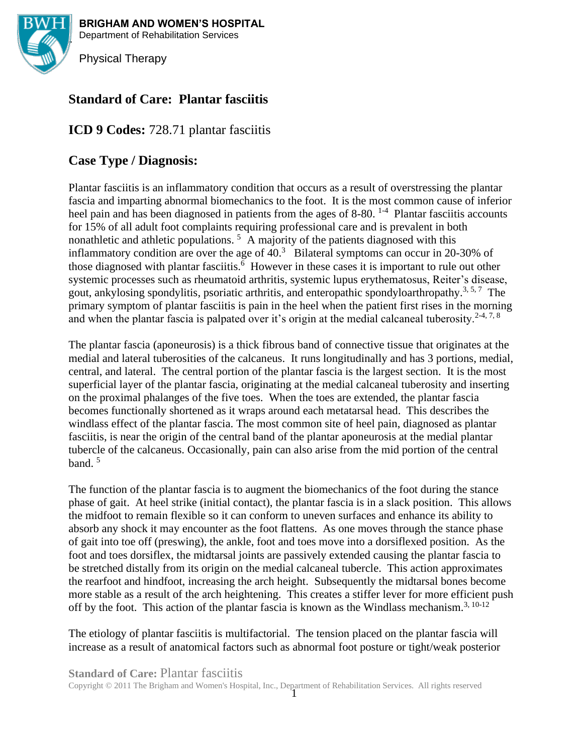

**BRIGHAM AND WOMEN'S HOSPITAL** Department of Rehabilitation Services

Physical Therapy

# **Standard of Care: Plantar fasciitis**

# **ICD 9 Codes:** 728.71 plantar fasciitis

# **Case Type / Diagnosis:**

Plantar fasciitis is an inflammatory condition that occurs as a result of overstressing the plantar fascia and imparting abnormal biomechanics to the foot. It is the most common cause of inferior heel pain and has been diagnosed in patients from the ages of 8-80.<sup>1-4</sup> Plantar fasciitis accounts for 15% of all adult foot complaints requiring professional care and is prevalent in both nonathletic and athletic populations.<sup>5</sup> A majority of the patients diagnosed with this inflammatory condition are over the age of  $40<sup>3</sup>$  Bilateral symptoms can occur in 20-30% of those diagnosed with plantar fasciitis.<sup>6</sup> However in these cases it is important to rule out other systemic processes such as rheumatoid arthritis, systemic lupus erythematosus, Reiter's disease, gout, ankylosing spondylitis, psoriatic arthritis, and enteropathic spondyloarthropathy.<sup>3,5,7</sup> The primary symptom of plantar fasciitis is pain in the heel when the patient first rises in the morning and when the plantar fascia is palpated over it's origin at the medial calcaneal tuberosity.<sup>2-4, 7, 8</sup>

The plantar fascia (aponeurosis) is a thick fibrous band of connective tissue that originates at the medial and lateral tuberosities of the calcaneus. It runs longitudinally and has 3 portions, medial, central, and lateral. The central portion of the plantar fascia is the largest section. It is the most superficial layer of the plantar fascia, originating at the medial calcaneal tuberosity and inserting on the proximal phalanges of the five toes. When the toes are extended, the plantar fascia becomes functionally shortened as it wraps around each metatarsal head. This describes the windlass effect of the plantar fascia. The most common site of heel pain, diagnosed as plantar fasciitis, is near the origin of the central band of the plantar aponeurosis at the medial plantar tubercle of the calcaneus. Occasionally, pain can also arise from the mid portion of the central band. 5

The function of the plantar fascia is to augment the biomechanics of the foot during the stance phase of gait. At heel strike (initial contact), the plantar fascia is in a slack position. This allows the midfoot to remain flexible so it can conform to uneven surfaces and enhance its ability to absorb any shock it may encounter as the foot flattens. As one moves through the stance phase of gait into toe off (preswing), the ankle, foot and toes move into a dorsiflexed position. As the foot and toes dorsiflex, the midtarsal joints are passively extended causing the plantar fascia to be stretched distally from its origin on the medial calcaneal tubercle. This action approximates the rearfoot and hindfoot, increasing the arch height. Subsequently the midtarsal bones become more stable as a result of the arch heightening. This creates a stiffer lever for more efficient push off by the foot. This action of the plantar fascia is known as the Windlass mechanism.<sup>3, 10-12</sup>

The etiology of plantar fasciitis is multifactorial. The tension placed on the plantar fascia will increase as a result of anatomical factors such as abnormal foot posture or tight/weak posterior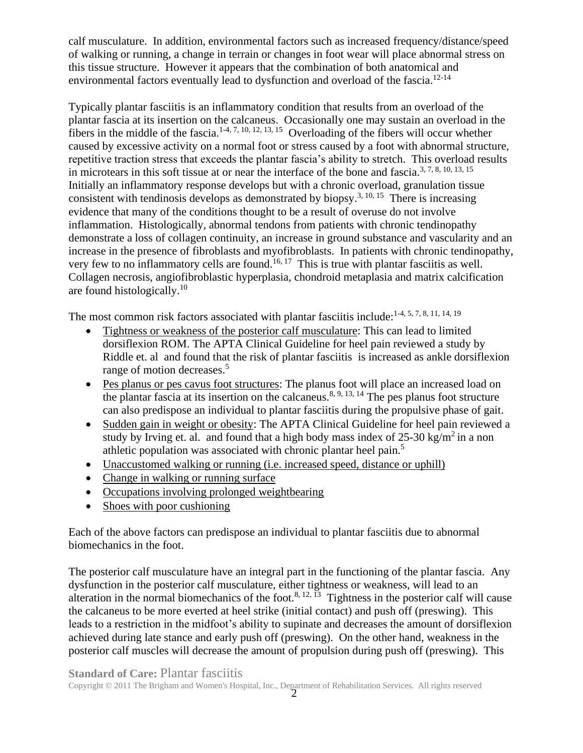calf musculature. In addition, environmental factors such as increased frequency/distance/speed of walking or running, a change in terrain or changes in foot wear will place abnormal stress on this tissue structure. However it appears that the combination of both anatomical and environmental factors eventually lead to dysfunction and overload of the fascia.<sup>12-14</sup>

Typically plantar fasciitis is an inflammatory condition that results from an overload of the plantar fascia at its insertion on the calcaneus. Occasionally one may sustain an overload in the fibers in the middle of the fascia.<sup>1-4, 7, 10, 12, 13, 15</sup> Overloading of the fibers will occur whether caused by excessive activity on a normal foot or stress caused by a foot with abnormal structure, repetitive traction stress that exceeds the plantar fascia's ability to stretch. This overload results in microtears in this soft tissue at or near the interface of the bone and fascia.<sup>3, 7, 8, 10, 13, 15</sup> Initially an inflammatory response develops but with a chronic overload, granulation tissue consistent with tendinosis develops as demonstrated by biopsy.<sup>3, 10, 15</sup> There is increasing evidence that many of the conditions thought to be a result of overuse do not involve inflammation. Histologically, abnormal tendons from patients with chronic tendinopathy demonstrate a loss of collagen continuity, an increase in ground substance and vascularity and an increase in the presence of fibroblasts and myofibroblasts. In patients with chronic tendinopathy, very few to no inflammatory cells are found.<sup>16, 17</sup> This is true with plantar fasciitis as well. Collagen necrosis, angiofibroblastic hyperplasia, chondroid metaplasia and matrix calcification are found histologically.<sup>10</sup>

The most common risk factors associated with plantar fasciitis include:<sup>1-4, 5, 7, 8, 11, 14, 19</sup>

- Tightness or weakness of the posterior calf musculature: This can lead to limited dorsiflexion ROM. The APTA Clinical Guideline for heel pain reviewed a study by Riddle et. al and found that the risk of plantar fasciitis is increased as ankle dorsiflexion range of motion decreases. 5
- Pes planus or pes cavus foot structures: The planus foot will place an increased load on the plantar fascia at its insertion on the calcaneus.<sup>8, 9, 13, 14</sup> The pes planus foot structure can also predispose an individual to plantar fasciitis during the propulsive phase of gait.
- Sudden gain in weight or obesity: The APTA Clinical Guideline for heel pain reviewed a study by Irving et. al. and found that a high body mass index of  $25\text{-}30 \text{ kg/m}^2$  in a non athletic population was associated with chronic plantar heel pain.<sup>5</sup>
- Unaccustomed walking or running (i.e. increased speed, distance or uphill)
- Change in walking or running surface
- Occupations involving prolonged weightbearing
- Shoes with poor cushioning

Each of the above factors can predispose an individual to plantar fasciitis due to abnormal biomechanics in the foot.

The posterior calf musculature have an integral part in the functioning of the plantar fascia. Any dysfunction in the posterior calf musculature, either tightness or weakness, will lead to an alteration in the normal biomechanics of the foot.<sup>8, 12, 13</sup> Tightness in the posterior calf will cause the calcaneus to be more everted at heel strike (initial contact) and push off (preswing). This leads to a restriction in the midfoot's ability to supinate and decreases the amount of dorsiflexion achieved during late stance and early push off (preswing). On the other hand, weakness in the posterior calf muscles will decrease the amount of propulsion during push off (preswing). This

#### **Standard of Care: Plantar fasciitis**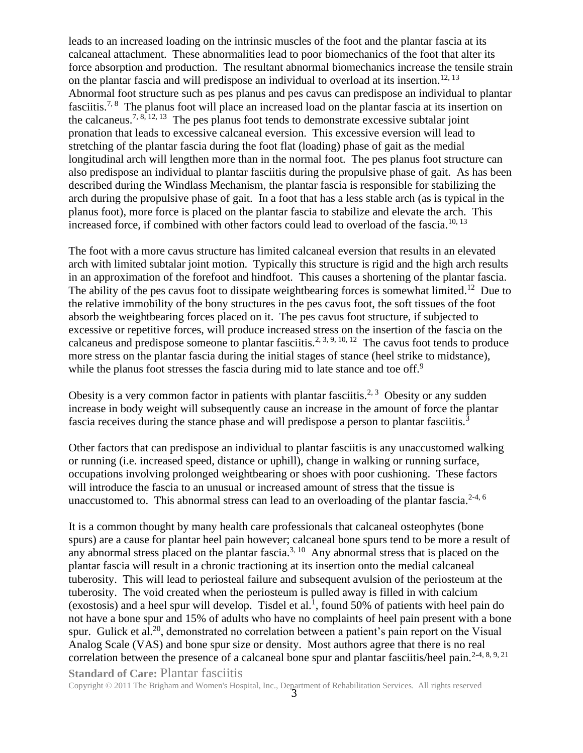leads to an increased loading on the intrinsic muscles of the foot and the plantar fascia at its calcaneal attachment. These abnormalities lead to poor biomechanics of the foot that alter its force absorption and production. The resultant abnormal biomechanics increase the tensile strain on the plantar fascia and will predispose an individual to overload at its insertion.<sup>12, 13</sup> Abnormal foot structure such as pes planus and pes cavus can predispose an individual to plantar fasciitis.<sup>7, 8</sup> The planus foot will place an increased load on the plantar fascia at its insertion on the calcaneus.<sup>7, 8, 12, 13</sup> The pes planus foot tends to demonstrate excessive subtalar joint pronation that leads to excessive calcaneal eversion. This excessive eversion will lead to stretching of the plantar fascia during the foot flat (loading) phase of gait as the medial longitudinal arch will lengthen more than in the normal foot. The pes planus foot structure can also predispose an individual to plantar fasciitis during the propulsive phase of gait. As has been described during the Windlass Mechanism, the plantar fascia is responsible for stabilizing the arch during the propulsive phase of gait. In a foot that has a less stable arch (as is typical in the planus foot), more force is placed on the plantar fascia to stabilize and elevate the arch. This increased force, if combined with other factors could lead to overload of the fascia.<sup>10, 13</sup>

The foot with a more cavus structure has limited calcaneal eversion that results in an elevated arch with limited subtalar joint motion. Typically this structure is rigid and the high arch results in an approximation of the forefoot and hindfoot. This causes a shortening of the plantar fascia. The ability of the pes cavus foot to dissipate weightbearing forces is somewhat limited.<sup>12</sup> Due to the relative immobility of the bony structures in the pes cavus foot, the soft tissues of the foot absorb the weightbearing forces placed on it. The pes cavus foot structure, if subjected to excessive or repetitive forces, will produce increased stress on the insertion of the fascia on the calcaneus and predispose someone to plantar fasciitis.<sup>2, 3, 9, 10, 12</sup> The cavus foot tends to produce more stress on the plantar fascia during the initial stages of stance (heel strike to midstance), while the planus foot stresses the fascia during mid to late stance and toe off.<sup>9</sup>

Obesity is a very common factor in patients with plantar fasciitis.<sup>2, 3</sup> Obesity or any sudden increase in body weight will subsequently cause an increase in the amount of force the plantar fascia receives during the stance phase and will predispose a person to plantar fasciitis.<sup>3</sup>

Other factors that can predispose an individual to plantar fasciitis is any unaccustomed walking or running (i.e. increased speed, distance or uphill), change in walking or running surface, occupations involving prolonged weightbearing or shoes with poor cushioning. These factors will introduce the fascia to an unusual or increased amount of stress that the tissue is unaccustomed to. This abnormal stress can lead to an overloading of the plantar fascia.<sup>2-4, 6</sup>

**Standard of Care: Plantar fasciitis** It is a common thought by many health care professionals that calcaneal osteophytes (bone spurs) are a cause for plantar heel pain however; calcaneal bone spurs tend to be more a result of any abnormal stress placed on the plantar fascia.<sup>3, 10</sup> Any abnormal stress that is placed on the plantar fascia will result in a chronic tractioning at its insertion onto the medial calcaneal tuberosity. This will lead to periosteal failure and subsequent avulsion of the periosteum at the tuberosity. The void created when the periosteum is pulled away is filled in with calcium (exostosis) and a heel spur will develop. Tisdel et al.<sup>1</sup>, found 50% of patients with heel pain do not have a bone spur and 15% of adults who have no complaints of heel pain present with a bone spur. Gulick et al.<sup>20</sup>, demonstrated no correlation between a patient's pain report on the Visual Analog Scale (VAS) and bone spur size or density. Most authors agree that there is no real correlation between the presence of a calcaneal bone spur and plantar fasciitis/heel pain.<sup>2-4, 8, 9, 21</sup>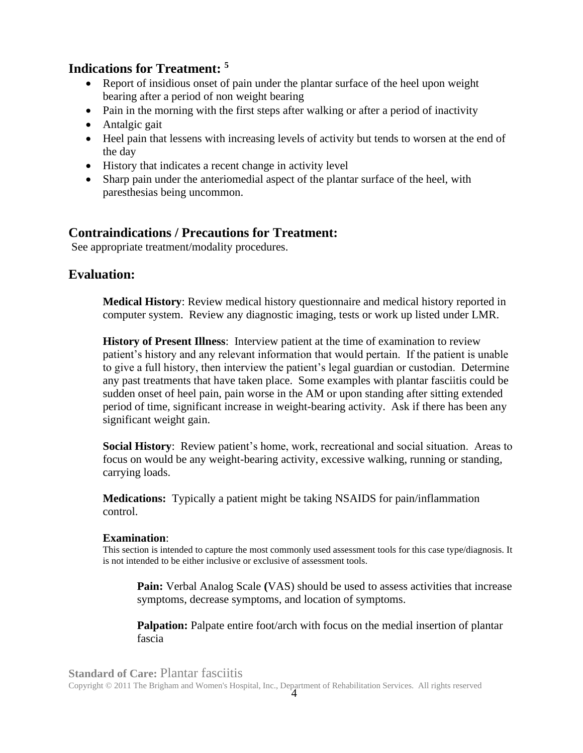## **Indications for Treatment: <sup>5</sup>**

- Report of insidious onset of pain under the plantar surface of the heel upon weight bearing after a period of non weight bearing
- Pain in the morning with the first steps after walking or after a period of inactivity
- Antalgic gait
- Heel pain that lessens with increasing levels of activity but tends to worsen at the end of the day
- History that indicates a recent change in activity level
- Sharp pain under the anteriomedial aspect of the plantar surface of the heel, with paresthesias being uncommon.

## **Contraindications / Precautions for Treatment:**

See appropriate treatment/modality procedures.

## **Evaluation:**

**Medical History**: Review medical history questionnaire and medical history reported in computer system. Review any diagnostic imaging, tests or work up listed under LMR.

**History of Present Illness**: Interview patient at the time of examination to review patient's history and any relevant information that would pertain. If the patient is unable to give a full history, then interview the patient's legal guardian or custodian. Determine any past treatments that have taken place. Some examples with plantar fasciitis could be sudden onset of heel pain, pain worse in the AM or upon standing after sitting extended period of time, significant increase in weight-bearing activity. Ask if there has been any significant weight gain.

**Social History**: Review patient's home, work, recreational and social situation. Areas to focus on would be any weight-bearing activity, excessive walking, running or standing, carrying loads.

**Medications:** Typically a patient might be taking NSAIDS for pain/inflammation control.

### **Examination**:

This section is intended to capture the most commonly used assessment tools for this case type/diagnosis. It is not intended to be either inclusive or exclusive of assessment tools.

**Pain:** Verbal Analog Scale **(**VAS) should be used to assess activities that increase symptoms, decrease symptoms, and location of symptoms.

**Palpation:** Palpate entire foot/arch with focus on the medial insertion of plantar fascia

#### **Standard of Care:** Plantar fasciitis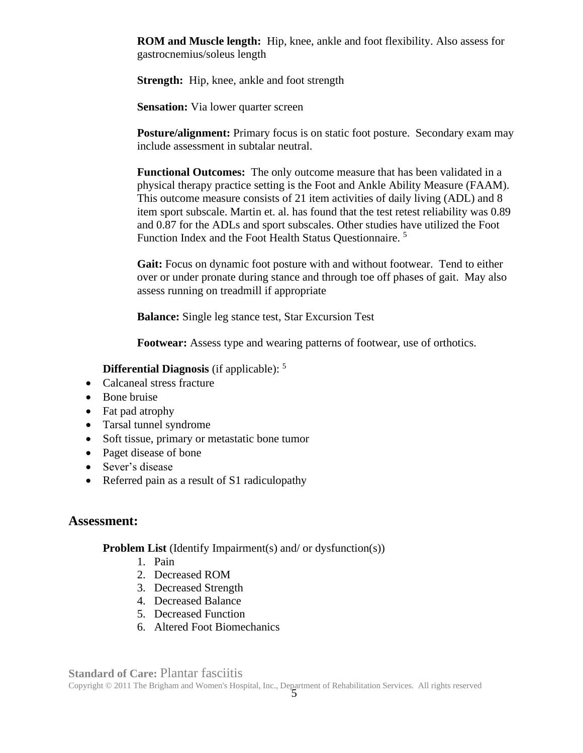**ROM and Muscle length:** Hip, knee, ankle and foot flexibility. Also assess for gastrocnemius/soleus length

**Strength:** Hip, knee, ankle and foot strength

**Sensation:** Via lower quarter screen

**Posture/alignment:** Primary focus is on static foot posture. Secondary exam may include assessment in subtalar neutral.

**Functional Outcomes:** The only outcome measure that has been validated in a physical therapy practice setting is the Foot and Ankle Ability Measure (FAAM). This outcome measure consists of 21 item activities of daily living (ADL) and 8 item sport subscale. Martin et. al. has found that the test retest reliability was 0.89 and 0.87 for the ADLs and sport subscales. Other studies have utilized the Foot Function Index and the Foot Health Status Questionnaire. <sup>5</sup>

**Gait:** Focus on dynamic foot posture with and without footwear. Tend to either over or under pronate during stance and through toe off phases of gait. May also assess running on treadmill if appropriate

**Balance:** Single leg stance test, Star Excursion Test

**Footwear:** Assess type and wearing patterns of footwear, use of orthotics.

**Differential Diagnosis** (if applicable): <sup>5</sup>

- Calcaneal stress fracture
- Bone bruise
- Fat pad atrophy
- Tarsal tunnel syndrome
- Soft tissue, primary or metastatic bone tumor
- Paget disease of bone
- Sever's disease
- Referred pain as a result of S1 radiculopathy

### **Assessment:**

**Problem List** (Identify Impairment(s) and/ or dysfunction(s))

- 1. Pain
- 2. Decreased ROM
- 3. Decreased Strength
- 4. Decreased Balance
- 5. Decreased Function
- 6. Altered Foot Biomechanics

#### **Standard of Care: Plantar fasciitis**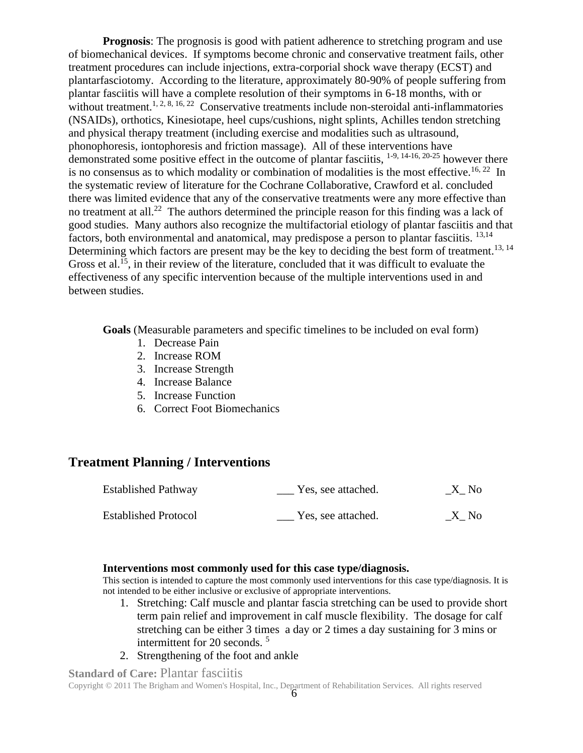**Prognosis**: The prognosis is good with patient adherence to stretching program and use of biomechanical devices. If symptoms become chronic and conservative treatment fails, other treatment procedures can include injections, extra-corporial shock wave therapy (ECST) and plantarfasciotomy. According to the literature, approximately 80-90% of people suffering from plantar fasciitis will have a complete resolution of their symptoms in 6-18 months, with or without treatment.<sup>1, 2, 8, 16, 22</sup> Conservative treatments include non-steroidal anti-inflammatories (NSAIDs), orthotics, Kinesiotape, heel cups/cushions, night splints, Achilles tendon stretching and physical therapy treatment (including exercise and modalities such as ultrasound, phonophoresis, iontophoresis and friction massage). All of these interventions have demonstrated some positive effect in the outcome of plantar fasciitis, <sup>1-9, 14-16, 20-25</sup> however there is no consensus as to which modality or combination of modalities is the most effective.<sup>16, 22</sup> In the systematic review of literature for the Cochrane Collaborative, Crawford et al. concluded there was limited evidence that any of the conservative treatments were any more effective than no treatment at all.<sup>22</sup> The authors determined the principle reason for this finding was a lack of good studies. Many authors also recognize the multifactorial etiology of plantar fasciitis and that factors, both environmental and anatomical, may predispose a person to plantar fasciitis. <sup>13,14</sup> Determining which factors are present may be the key to deciding the best form of treatment.<sup>13, 14</sup> Gross et al.<sup>15</sup>, in their review of the literature, concluded that it was difficult to evaluate the effectiveness of any specific intervention because of the multiple interventions used in and between studies.

**Goals** (Measurable parameters and specific timelines to be included on eval form)

- 1. Decrease Pain
- 2. Increase ROM
- 3. Increase Strength
- 4. Increase Balance
- 5. Increase Function
- 6. Correct Foot Biomechanics

## **Treatment Planning / Interventions**

| <b>Established Pathway</b>  | Yes, see attached. | X No |
|-----------------------------|--------------------|------|
| <b>Established Protocol</b> | Yes, see attached. | X No |

#### **Interventions most commonly used for this case type/diagnosis.**

This section is intended to capture the most commonly used interventions for this case type/diagnosis. It is not intended to be either inclusive or exclusive of appropriate interventions.

- 1. Stretching: Calf muscle and plantar fascia stretching can be used to provide short term pain relief and improvement in calf muscle flexibility. The dosage for calf stretching can be either 3 times a day or 2 times a day sustaining for 3 mins or intermittent for 20 seconds. <sup>5</sup>
- 2. Strengthening of the foot and ankle

**Standard of Care: Plantar fasciitis**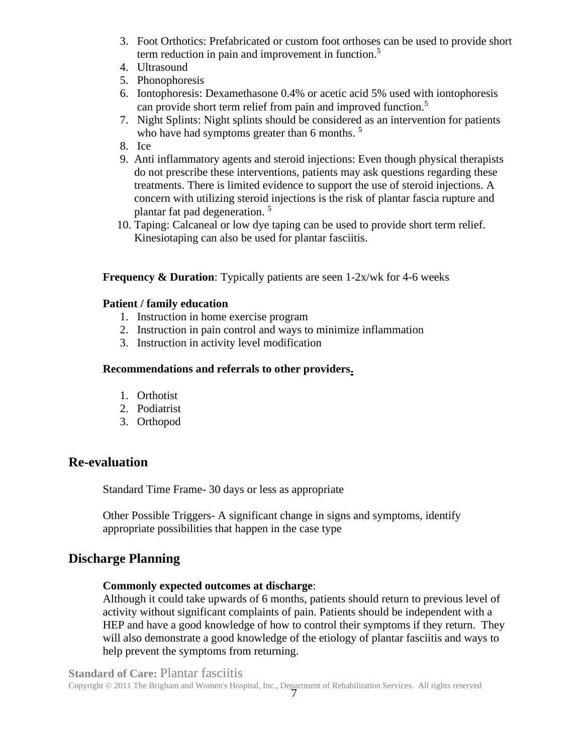- 3. Foot Orthotics: Prefabricated or custom foot orthoses can be used to provide short term reduction in pain and improvement in function. 5
- 4. Ultrasound
- 5. Phonophoresis
- 6. Iontophoresis: Dexamethasone 0.4% or acetic acid 5% used with iontophoresis can provide short term relief from pain and improved function.<sup>5</sup>
- 7. Night Splints: Night splints should be considered as an intervention for patients who have had symptoms greater than 6 months.<sup>5</sup>
- 8. Ice
- 9. Anti inflammatory agents and steroid injections: Even though physical therapists do not prescribe these interventions, patients may ask questions regarding these treatments. There is limited evidence to support the use of steroid injections. A concern with utilizing steroid injections is the risk of plantar fascia rupture and plantar fat pad degeneration. 5
	- 10. Taping: Calcaneal or low dye taping can be used to provide short term relief. Kinesiotaping can also be used for plantar fasciitis.

#### **Frequency & Duration**: Typically patients are seen 1-2x/wk for 4-6 weeks

#### **Patient / family education**

- 1. Instruction in home exercise program
- 2. Instruction in pain control and ways to minimize inflammation
- 3. Instruction in activity level modification

#### **Recommendations and referrals to other providers.**

- 1. Orthotist
- 2. Podiatrist
- 3. Orthopod

## **Re-evaluation**

Standard Time Frame- 30 days or less as appropriate

Other Possible Triggers- A significant change in signs and symptoms, identify appropriate possibilities that happen in the case type

## **Discharge Planning**

#### **Commonly expected outcomes at discharge**:

Although it could take upwards of 6 months, patients should return to previous level of activity without significant complaints of pain. Patients should be independent with a HEP and have a good knowledge of how to control their symptoms if they return. They will also demonstrate a good knowledge of the etiology of plantar fasciitis and ways to help prevent the symptoms from returning.

#### **Standard of Care: Plantar fasciitis**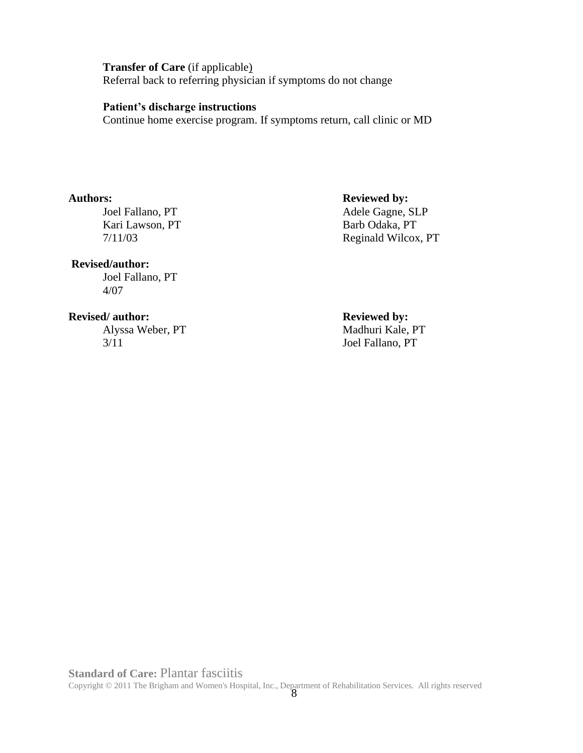**Transfer of Care** (if applicable) Referral back to referring physician if symptoms do not change

#### **Patient's discharge instructions**

Continue home exercise program. If symptoms return, call clinic or MD

Kari Lawson, PT Barb Odaka, PT

#### **Revised/author:**

Joel Fallano, PT 4/07

#### **Revised/ author: Reviewed by: Reviewed by:**

Alyssa Weber, PT Madhuri Kale, PT 3/11 Joel Fallano, PT

## **Authors: Reviewed by:**

Joel Fallano, PT Adele Gagne, SLP 7/11/03 Reginald Wilcox, PT

#### **Standard of Care:** Plantar fasciitis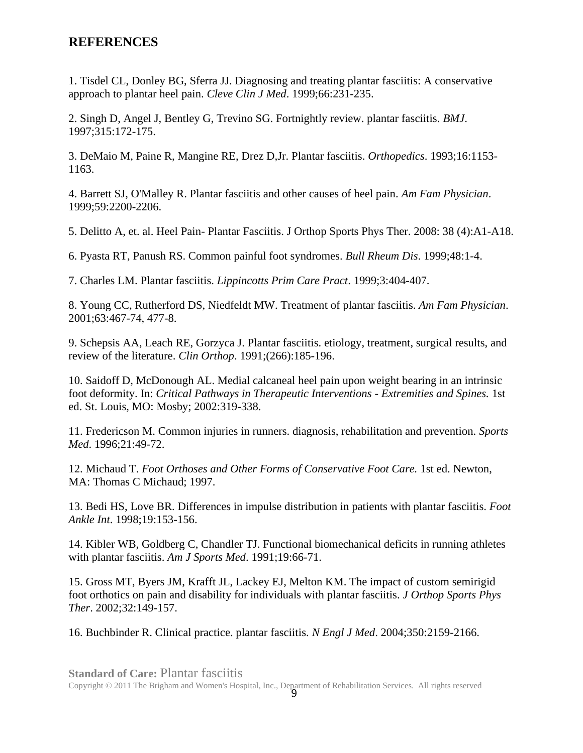## **REFERENCES**

1. Tisdel CL, Donley BG, Sferra JJ. Diagnosing and treating plantar fasciitis: A conservative approach to plantar heel pain. *Cleve Clin J Med*. 1999;66:231-235.

2. Singh D, Angel J, Bentley G, Trevino SG. Fortnightly review. plantar fasciitis. *BMJ*. 1997;315:172-175.

3. DeMaio M, Paine R, Mangine RE, Drez D,Jr. Plantar fasciitis. *Orthopedics*. 1993;16:1153- 1163.

4. Barrett SJ, O'Malley R. Plantar fasciitis and other causes of heel pain. *Am Fam Physician*. 1999;59:2200-2206.

5. Delitto A, et. al. Heel Pain- Plantar Fasciitis. J Orthop Sports Phys Ther. 2008: 38 (4):A1-A18.

6. Pyasta RT, Panush RS. Common painful foot syndromes. *Bull Rheum Dis*. 1999;48:1-4.

7. Charles LM. Plantar fasciitis. *Lippincotts Prim Care Pract*. 1999;3:404-407.

8. Young CC, Rutherford DS, Niedfeldt MW. Treatment of plantar fasciitis. *Am Fam Physician*. 2001;63:467-74, 477-8.

9. Schepsis AA, Leach RE, Gorzyca J. Plantar fasciitis. etiology, treatment, surgical results, and review of the literature. *Clin Orthop*. 1991;(266):185-196.

10. Saidoff D, McDonough AL. Medial calcaneal heel pain upon weight bearing in an intrinsic foot deformity. In: *Critical Pathways in Therapeutic Interventions - Extremities and Spines.* 1st ed. St. Louis, MO: Mosby; 2002:319-338.

11. Fredericson M. Common injuries in runners. diagnosis, rehabilitation and prevention. *Sports Med*. 1996;21:49-72.

12. Michaud T. *Foot Orthoses and Other Forms of Conservative Foot Care*. 1st ed. Newton, MA: Thomas C Michaud; 1997.

13. Bedi HS, Love BR. Differences in impulse distribution in patients with plantar fasciitis. *Foot Ankle Int*. 1998;19:153-156.

14. Kibler WB, Goldberg C, Chandler TJ. Functional biomechanical deficits in running athletes with plantar fasciitis. *Am J Sports Med*. 1991;19:66-71.

15. Gross MT, Byers JM, Krafft JL, Lackey EJ, Melton KM. The impact of custom semirigid foot orthotics on pain and disability for individuals with plantar fasciitis. *J Orthop Sports Phys Ther*. 2002;32:149-157.

16. Buchbinder R. Clinical practice. plantar fasciitis. *N Engl J Med*. 2004;350:2159-2166.